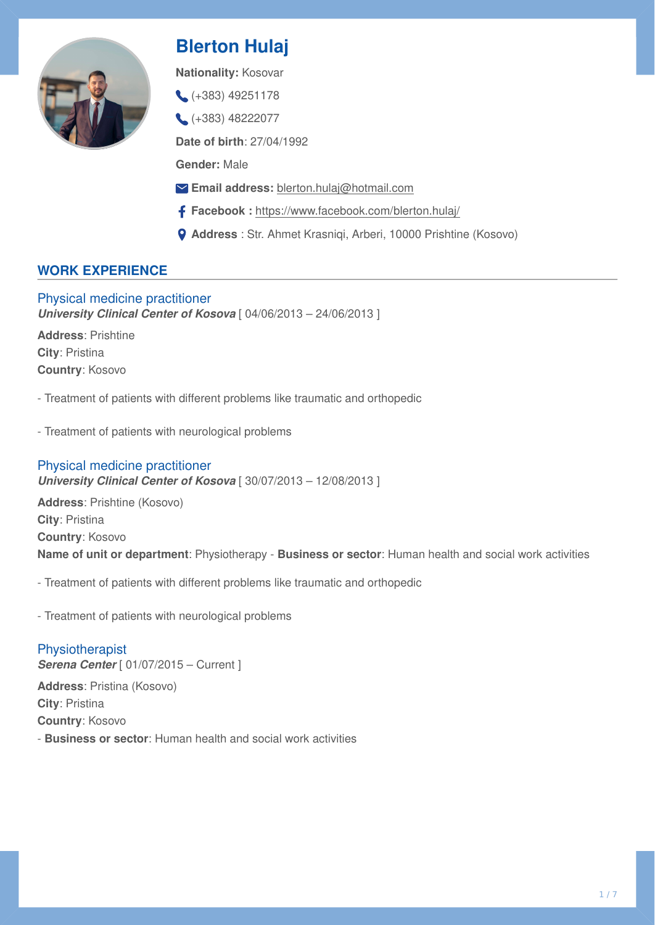

# **Blerton Hulaj**

**Nationality:** Kosovar

- $( +383)$  49251178
- (+383) 48222077

**Date of birth**: 27/04/1992

**Gender:** Male

- **Email address:** [blerton.hulaj@hotmail.com](mailto:blerton.hulaj@hotmail.com)
- **Facebook :**<https://www.facebook.com/blerton.hulaj/>
- **Address** : Str. Ahmet Krasniqi, Arberi, 10000 Prishtine (Kosovo)

# **WORK EXPERIENCE**

Physical medicine practitioner *University Clinical Center of Kosova* [ 04/06/2013 – 24/06/2013 ]

**Address**: Prishtine **City**: Pristina **Country**: Kosovo

- Treatment of patients with different problems like traumatic and orthopedic

- Treatment of patients with neurological problems

# Physical medicine practitioner *University Clinical Center of Kosova* [ 30/07/2013 – 12/08/2013 ]

**Address**: Prishtine (Kosovo) **City**: Pristina **Country**: Kosovo **Name of unit or department**: Physiotherapy - **Business or sector**: Human health and social work activities

- Treatment of patients with different problems like traumatic and orthopedic

- Treatment of patients with neurological problems

Physiotherapist **Serena Center** [ 01/07/2015 – Current ] **Address**: Pristina (Kosovo) **City**: Pristina **Country**: Kosovo - **Business or sector**: Human health and social work activities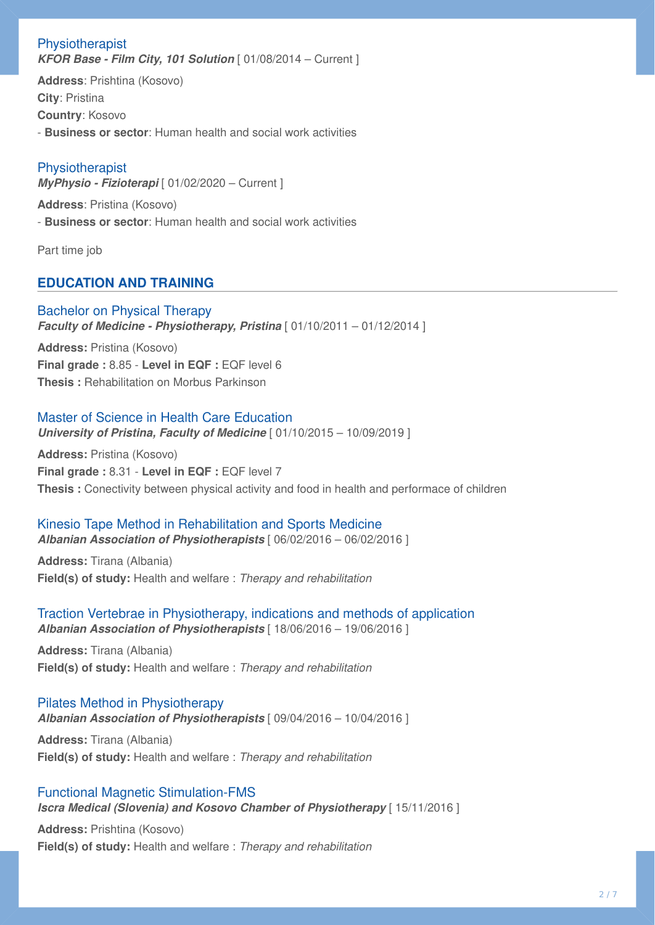## Physiotherapist **KFOR Base - Film City, 101 Solution** [ 01/08/2014 – Current ]

**Address**: Prishtina (Kosovo) **City**: Pristina **Country**: Kosovo - **Business or sector**: Human health and social work activities

# **Physiotherapist**

*MyPhysio - Fizioterapi* [ 01/02/2020 – Current ]

**Address**: Pristina (Kosovo) - **Business or sector**: Human health and social work activities

Part time job

# **EDUCATION AND TRAINING**

#### Bachelor on Physical Therapy *Faculty of Medicine - Physiotherapy, Pristina* [ 01/10/2011 – 01/12/2014 ]

**Address:** Pristina (Kosovo) **Final grade :** 8.85 - **Level in EQF :** EQF level 6 **Thesis :** Rehabilitation on Morbus Parkinson

## Master of Science in Health Care Education

*University of Pristina, Faculty of Medicine* [ 01/10/2015 – 10/09/2019 ]

**Address:** Pristina (Kosovo) **Final grade :** 8.31 - **Level in EQF :** EQF level 7 **Thesis :** Conectivity between physical activity and food in health and performace of children

# Kinesio Tape Method in Rehabilitation and Sports Medicine

*Albanian Association of Physiotherapists* [ 06/02/2016 – 06/02/2016 ]

**Address:** Tirana (Albania) **Field(s) of study:** Health and welfare : *Therapy and rehabilitation* 

#### Traction Vertebrae in Physiotherapy, indications and methods of application *Albanian Association of Physiotherapists* [ 18/06/2016 – 19/06/2016 ]

**Address:** Tirana (Albania) **Field(s) of study:** Health and welfare : *Therapy and rehabilitation* 

# Pilates Method in Physiotherapy

*Albanian Association of Physiotherapists* [ 09/04/2016 – 10/04/2016 ]

**Address:** Tirana (Albania) **Field(s) of study:** Health and welfare : *Therapy and rehabilitation* 

## Functional Magnetic Stimulation-FMS

*Iscra Medical (Slovenia) and Kosovo Chamber of Physiotherapy* [ 15/11/2016 ]

**Address:** Prishtina (Kosovo) **Field(s) of study:** Health and welfare : *Therapy and rehabilitation*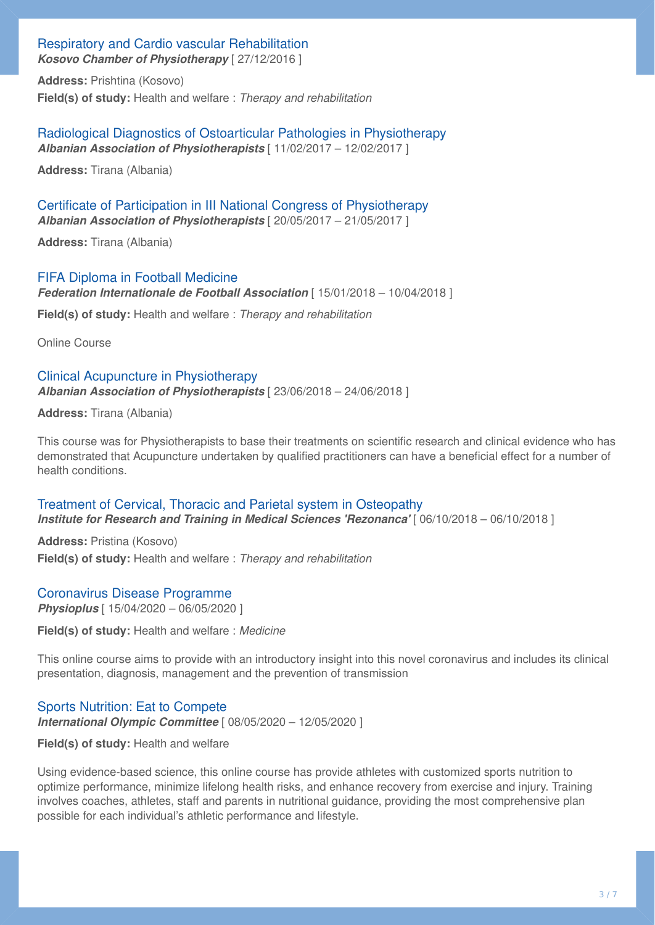# Respiratory and Cardio vascular Rehabilitation

*Kosovo Chamber of Physiotherapy* [ 27/12/2016 ]

**Address:** Prishtina (Kosovo) **Field(s) of study:** Health and welfare : *Therapy and rehabilitation* 

Radiological Diagnostics of Ostoarticular Pathologies in Physiotherapy *Albanian Association of Physiotherapists* [ 11/02/2017 – 12/02/2017 ]

**Address:** Tirana (Albania)

Certificate of Participation in III National Congress of Physiotherapy *Albanian Association of Physiotherapists* [ 20/05/2017 – 21/05/2017 ]

**Address:** Tirana (Albania)

#### FIFA Diploma in Football Medicine

*Federation Internationale de Football Association* [ 15/01/2018 – 10/04/2018 ]

**Field(s) of study:** Health and welfare : *Therapy and rehabilitation* 

Online Course

## Clinical Acupuncture in Physiotherapy *Albanian Association of Physiotherapists* [ 23/06/2018 – 24/06/2018 ]

**Address:** Tirana (Albania)

This course was for Physiotherapists to base their treatments on scientific research and clinical evidence who has demonstrated that Acupuncture undertaken by qualified practitioners can have a beneficial effect for a number of health conditions.

# Treatment of Cervical, Thoracic and Parietal system in Osteopathy

*Institute for Research and Training in Medical Sciences 'Rezonanca'* [ 06/10/2018 – 06/10/2018 ]

**Address:** Pristina (Kosovo) **Field(s) of study:** Health and welfare : *Therapy and rehabilitation* 

## Coronavirus Disease Programme

*Physioplus* [ 15/04/2020 – 06/05/2020 ]

**Field(s) of study:** Health and welfare : *Medicine* 

This online course aims to provide with an introductory insight into this novel coronavirus and includes its clinical presentation, diagnosis, management and the prevention of transmission

## Sports Nutrition: Eat to Compete

*International Olympic Committee* [ 08/05/2020 – 12/05/2020 ]

#### **Field(s) of study:** Health and welfare

Using evidence-based science, this online course has provide athletes with customized sports nutrition to optimize performance, minimize lifelong health risks, and enhance recovery from exercise and injury. Training involves coaches, athletes, staff and parents in nutritional guidance, providing the most comprehensive plan possible for each individual's athletic performance and lifestyle.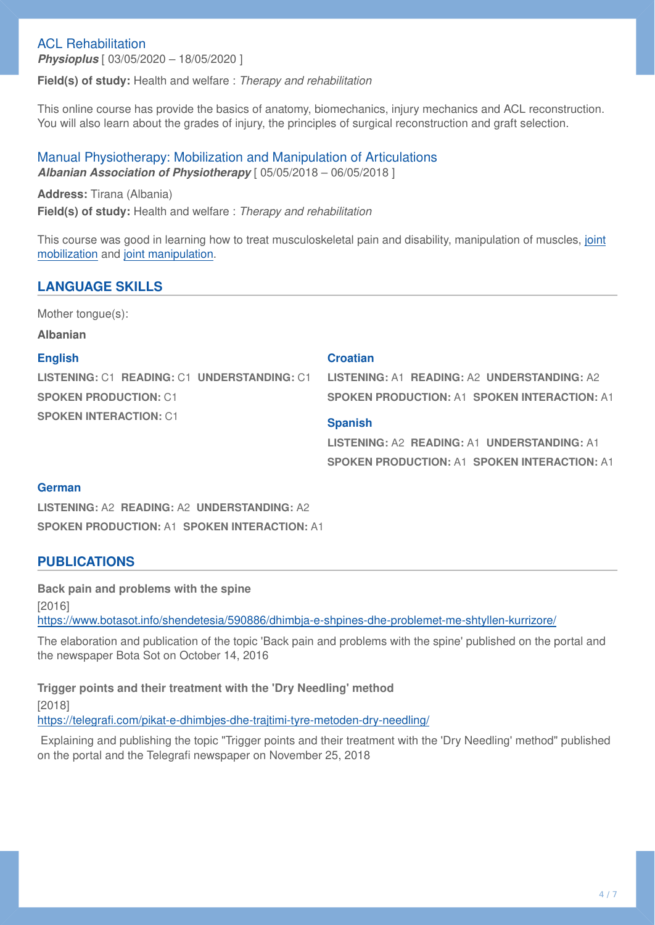## ACL Rehabilitation

*Physioplus* [ 03/05/2020 – 18/05/2020 ]

**Field(s) of study:** Health and welfare : *Therapy and rehabilitation* 

This online course has provide the basics of anatomy, biomechanics, injury mechanics and ACL reconstruction. You will also learn about the grades of injury, the principles of surgical reconstruction and graft selection.

#### Manual Physiotherapy: Mobilization and Manipulation of Articulations *Albanian Association of Physiotherapy* [ 05/05/2018 – 06/05/2018 ]

**Address:** Tirana (Albania) **Field(s) of study:** Health and welfare : *Therapy and rehabilitation* 

This course was good in learning how to treat musculoskeletal pain and disability, manipulation of muscles, [joint](https://en.wikipedia.org/wiki/Joint_mobilization) [mobilization](https://en.wikipedia.org/wiki/Joint_mobilization) and [joint manipulation.](https://en.wikipedia.org/wiki/Joint_manipulation)

#### **LANGUAGE SKILLS**

Mother tongue(s):

**Albanian**

#### **English**

**LISTENING:** C1 **READING:** C1 **UNDERSTANDING:** C1 **SPOKEN PRODUCTION:** C1 **SPOKEN INTERACTION:** C1

#### **Croatian**

**LISTENING:** A1 **READING:** A2 **UNDERSTANDING:** A2 **SPOKEN PRODUCTION:** A1 **SPOKEN INTERACTION:** A1

#### **Spanish**

**LISTENING:** A2 **READING:** A1 **UNDERSTANDING:** A1 **SPOKEN PRODUCTION:** A1 **SPOKEN INTERACTION:** A1

#### **German**

**LISTENING:** A2 **READING:** A2 **UNDERSTANDING:** A2 **SPOKEN PRODUCTION:** A1 **SPOKEN INTERACTION:** A1

#### **PUBLICATIONS**

**Back pain and problems with the spine**  [2016] <https://www.botasot.info/shendetesia/590886/dhimbja-e-shpines-dhe-problemet-me-shtyllen-kurrizore/>

The elaboration and publication of the topic 'Back pain and problems with the spine' published on the portal and the newspaper Bota Sot on October 14, 2016

**Trigger points and their treatment with the 'Dry Needling' method**  [2018] https://telegrafi[.com/pikat-e-dhimbjes-dhe-trajtimi-tyre-metoden-dry-needling/](https://telegrafi.com/pikat-e-dhimbjes-dhe-trajtimi-tyre-metoden-dry-needling/)

Explaining and publishing the topic "Trigger points and their treatment with the 'Dry Needling' method" published on the portal and the Telegrafi newspaper on November 25, 2018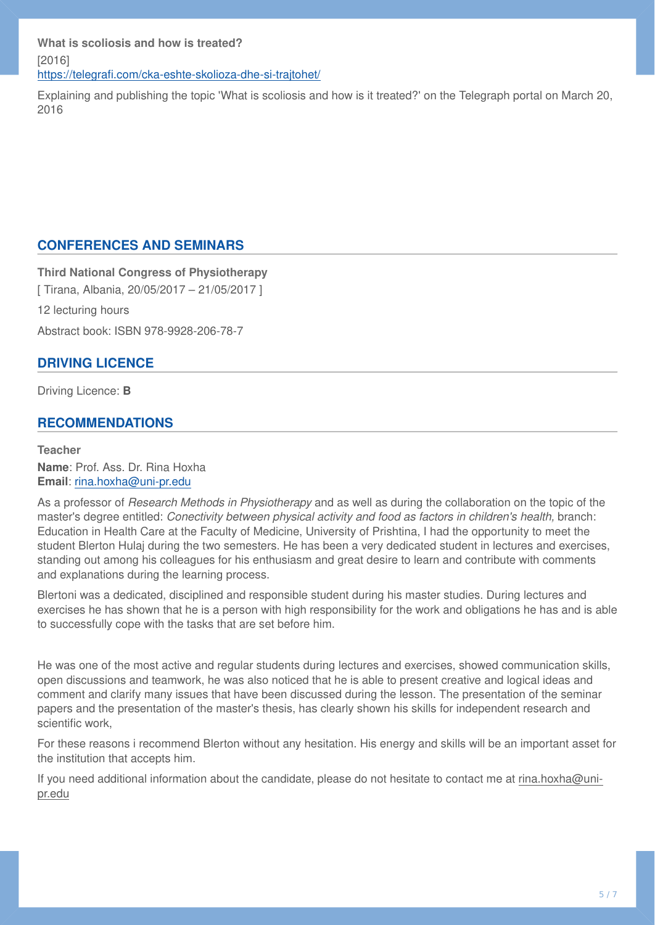Explaining and publishing the topic 'What is scoliosis and how is it treated?' on the Telegraph portal on March 20, 2016

## **CONFERENCES AND SEMINARS**

**Third National Congress of Physiotherapy**  [ Tirana, Albania, 20/05/2017 – 21/05/2017 ] 12 lecturing hours Abstract book: ISBN 978-9928-206-78-7

## **DRIVING LICENCE**

Driving Licence: **B**

## **RECOMMENDATIONS**

**Teacher Name**: Prof. Ass. Dr. Rina Hoxha **Email**: [rina.hoxha@uni-pr.edu](mailto:rina.hoxha@uni-pr.edu)

As a professor of *Research Methods in Physiotherapy* and as well as during the collaboration on the topic of the master's degree entitled: *Conectivity between physical activity and food as factors in children's health,* branch: Education in Health Care at the Faculty of Medicine, University of Prishtina, I had the opportunity to meet the student Blerton Hulaj during the two semesters. He has been a very dedicated student in lectures and exercises, standing out among his colleagues for his enthusiasm and great desire to learn and contribute with comments and explanations during the learning process.

Blertoni was a dedicated, disciplined and responsible student during his master studies. During lectures and exercises he has shown that he is a person with high responsibility for the work and obligations he has and is able to successfully cope with the tasks that are set before him.

He was one of the most active and regular students during lectures and exercises, showed communication skills, open discussions and teamwork, he was also noticed that he is able to present creative and logical ideas and comment and clarify many issues that have been discussed during the lesson. The presentation of the seminar papers and the presentation of the master's thesis, has clearly shown his skills for independent research and scientific work,

For these reasons i recommend Blerton without any hesitation. His energy and skills will be an important asset for the institution that accepts him.

If you need additional information about the candidate, please do not hesitate to contact me at rina.hoxha@unipr.edu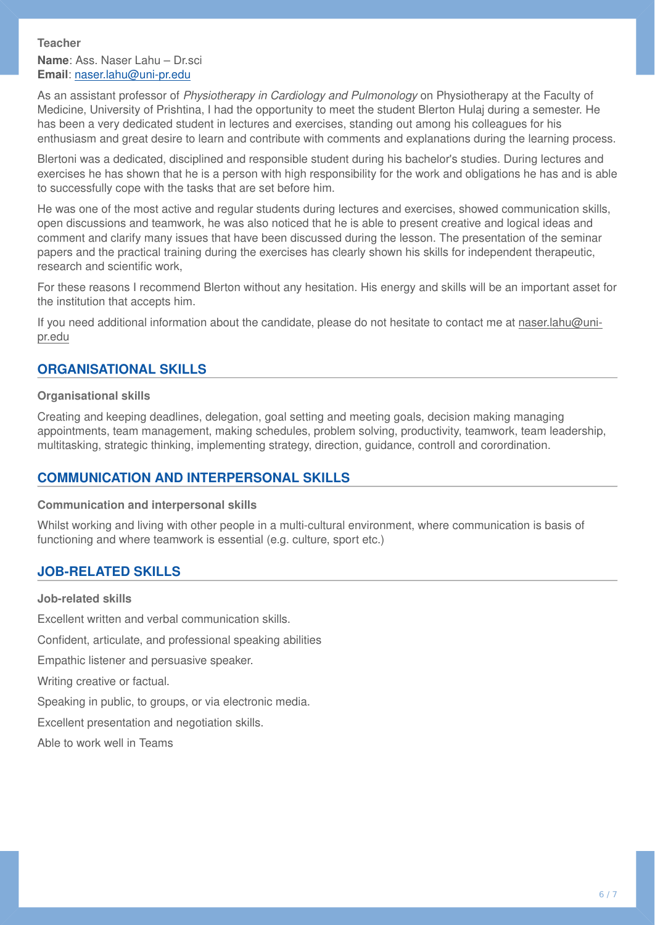#### **Teacher**

**Name**: Ass. Naser Lahu – Dr.sci **Email**: [naser.lahu@uni-pr.edu](mailto:naser.lahu@uni-pr.edu)

As an assistant professor of *Physiotherapy in Cardiology and Pulmonology* on Physiotherapy at the Faculty of Medicine, University of Prishtina, I had the opportunity to meet the student Blerton Hulaj during a semester. He has been a very dedicated student in lectures and exercises, standing out among his colleagues for his enthusiasm and great desire to learn and contribute with comments and explanations during the learning process.

Blertoni was a dedicated, disciplined and responsible student during his bachelor's studies. During lectures and exercises he has shown that he is a person with high responsibility for the work and obligations he has and is able to successfully cope with the tasks that are set before him.

He was one of the most active and regular students during lectures and exercises, showed communication skills, open discussions and teamwork, he was also noticed that he is able to present creative and logical ideas and comment and clarify many issues that have been discussed during the lesson. The presentation of the seminar papers and the practical training during the exercises has clearly shown his skills for independent therapeutic, research and scientific work,

For these reasons I recommend Blerton without any hesitation. His energy and skills will be an important asset for the institution that accepts him.

If you need additional information about the candidate, please do not hesitate to contact me at naser.lahu@unipr.edu

## **ORGANISATIONAL SKILLS**

#### **Organisational skills**

Creating and keeping deadlines, delegation, goal setting and meeting goals, decision making managing appointments, team management, making schedules, problem solving, productivity, teamwork, team leadership, multitasking, strategic thinking, implementing strategy, direction, guidance, controll and corordination.

# **COMMUNICATION AND INTERPERSONAL SKILLS**

#### **Communication and interpersonal skills**

Whilst working and living with other people in a multi-cultural environment, where communication is basis of functioning and where teamwork is essential (e.g. culture, sport etc.)

# **JOB-RELATED SKILLS**

#### **Job-related skills**

Excellent written and verbal communication skills. Confident, articulate, and professional speaking abilities Empathic listener and persuasive speaker.

Writing creative or factual.

Speaking in public, to groups, or via electronic media.

Excellent presentation and negotiation skills.

Able to work well in Teams